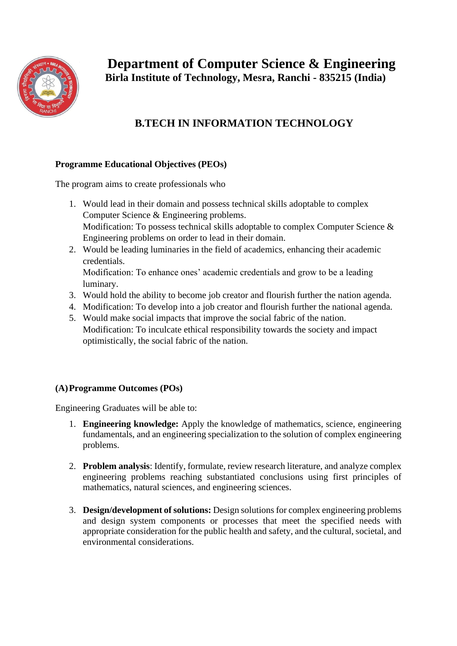

## **B.TECH IN INFORMATION TECHNOLOGY**

## **Programme Educational Objectives (PEOs)**

The program aims to create professionals who

- 1. Would lead in their domain and possess technical skills adoptable to complex Computer Science & Engineering problems. Modification: To possess technical skills adoptable to complex Computer Science & Engineering problems on order to lead in their domain.
- 2. Would be leading luminaries in the field of academics, enhancing their academic credentials.

Modification: To enhance ones' academic credentials and grow to be a leading luminary.

- 3. Would hold the ability to become job creator and flourish further the nation agenda.
- 4. Modification: To develop into a job creator and flourish further the national agenda.
- 5. Would make social impacts that improve the social fabric of the nation. Modification: To inculcate ethical responsibility towards the society and impact optimistically, the social fabric of the nation.

## **(A)Programme Outcomes (POs)**

Engineering Graduates will be able to:

- 1. **Engineering knowledge:** Apply the knowledge of mathematics, science, engineering fundamentals, and an engineering specialization to the solution of complex engineering problems.
- 2. **Problem analysis**: Identify, formulate, review research literature, and analyze complex engineering problems reaching substantiated conclusions using first principles of mathematics, natural sciences, and engineering sciences.
- 3. **Design/development of solutions:** Design solutions for complex engineering problems and design system components or processes that meet the specified needs with appropriate consideration for the public health and safety, and the cultural, societal, and environmental considerations.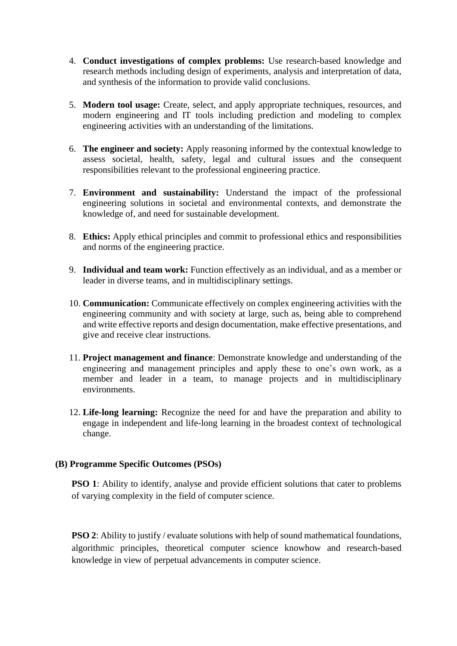- 4. **Conduct investigations of complex problems:** Use research-based knowledge and research methods including design of experiments, analysis and interpretation of data, and synthesis of the information to provide valid conclusions.
- 5. **Modern tool usage:** Create, select, and apply appropriate techniques, resources, and modern engineering and IT tools including prediction and modeling to complex engineering activities with an understanding of the limitations.
- 6. **The engineer and society:** Apply reasoning informed by the contextual knowledge to assess societal, health, safety, legal and cultural issues and the consequent responsibilities relevant to the professional engineering practice.
- 7. **Environment and sustainability:** Understand the impact of the professional engineering solutions in societal and environmental contexts, and demonstrate the knowledge of, and need for sustainable development.
- 8. **Ethics:** Apply ethical principles and commit to professional ethics and responsibilities and norms of the engineering practice.
- 9. **Individual and team work:** Function effectively as an individual, and as a member or leader in diverse teams, and in multidisciplinary settings.
- 10. **Communication:** Communicate effectively on complex engineering activities with the engineering community and with society at large, such as, being able to comprehend and write effective reports and design documentation, make effective presentations, and give and receive clear instructions.
- 11. **Project management and finance**: Demonstrate knowledge and understanding of the engineering and management principles and apply these to one's own work, as a member and leader in a team, to manage projects and in multidisciplinary environments.
- 12. **Life-long learning:** Recognize the need for and have the preparation and ability to engage in independent and life-long learning in the broadest context of technological change.

## **(B) Programme Specific Outcomes (PSOs)**

**PSO 1**: Ability to identify, analyse and provide efficient solutions that cater to problems of varying complexity in the field of computer science.

**PSO 2**: Ability to justify / evaluate solutions with help of sound mathematical foundations, algorithmic principles, theoretical computer science knowhow and research-based knowledge in view of perpetual advancements in computer science.